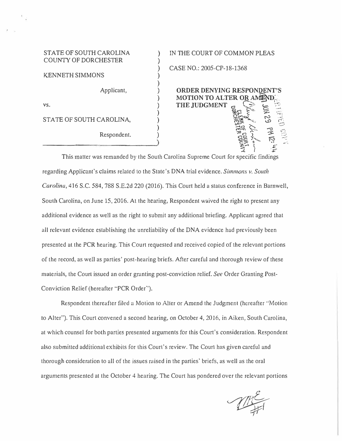## STATE OF SOUTH CAROLINA COUNTY OF DORCHESTER

KENNETH SIMMONS

Applicant,

vs.

STATE OF SOUTH CAROLINA,

Respondent.

IN THE COURT OF COMMON PLEAS

CASE NO.: 2005-CP-18-1368

**ORDER DENYING RESPONDENT'S MOTION TO ALTER OR A THE JUDGMENT c, C-;::--:::** <.--: :::  $\mathbb{E} \cong \mathbb{Z}$  .  $\mathbb{Z}$  .  $\mathbb{Z}$ **,c,\_ -**  $\frac{1}{2}$  .  $\frac{1}{2}$  .  $\frac{1}{2}$ *-* $, 1000$ <br>  $, 1000$ <br>  $, 2400$ <br>  $, 2400$ <br>  $, 2400$ <br>  $, 2400$ **3. A ) �** 

This matter was remanded by the South Carolina Supreme Court for specific findings regarding Applicant's claims related to the State's DNA trial evidence. *Simmons v. South Carolina,* 416 S.C. 584, 788 S.E.2d 220 (2016). This Court held a status conference in Barnwell, South Carolina, on June 15, 2016. At the hearing, Respondent waived the right to present any additional evidence as well as the right to submit any additional briefing. Applicant agreed that all relevant evidence establishing the unreliability of the DNA evidence had previously been presented at the PCR hearing. This Court requested and received copjed of the relevant portions of the record, as well as parties' post-hearing briefs. After careful and thorough review of these materials, the Court issued an order granting post-conviction relief. See Order Granting Post-Conviction Relief (hereafter "PCR Order'').

) ) ) ) ) ) ) ) ) ) ) )

Respondent thereafter filed a Motion to Aller or Amend the Judgment (hereafter ·'Motion lo Alter"). This Court convened a second hearing, on October 4, 2016, in Aiken, South Carolina, at which counsel for both parties presented arguments for this Court's consideration. Respondent also submitted additional exhibits for this Court's review. The Court has given careful and thorough consideration to all of the issues raised in the parties' briefs, as well as the oral arguments presented at the October 4 hearing. The Court has pondered over the relevant portions

 $\mathbb{Z}^{\epsilon}_{\#}$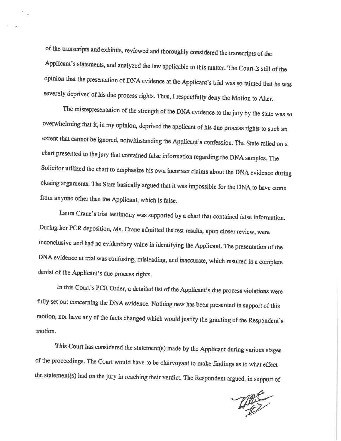of the transcripts and exhibits, reviewed and thoroughly considered the transcripts of the Applicant's statements, and analyzed the law applicable to this matter. The Court is still of the opinion that the presentation of DNA evidence at the Applicant's trial was so tainted that he was severely deprived of his due process rights. Thus, I respectfully deny the Motion to Alter.

The misrepresentation of the strength of the DNA evidence to the jury by the state was so overwhelming that it, in my opinion, deprived the applicant of his due process rights to such an extent that cannot be ignored, notwithstanding the Applicant's confession. The State relied on a chart presented to the jury that contained false information regarding the DNA samples. The Solicitor utilized the chart to emphasize his own incorrect claims about the DNA evidence during closing arguments. The State basically argued that it was impossible for the DNA to have come from anyone other than the Applicant, which is false.

Laura Crane's trial testimony was supported by a chart that contained false information. During her PCR deposition, Ms. Crane admitted the test results, upon closer review, were inconclusive and had no evidentiary value in identifying the Applicant. The presentation of the DNA evidence at trial was confusing, misleading, and inaccurate, which resulted in a complete denial of the Applicant's due process rights.

In this Court's PCR Order, a detailed list of the Applicant's due process violations were fully set out concerning the DNA evidence. Nothing new has been presented in support of this motion, nor have any of the facts changed which would justify the granting of the Respondent's motion.

This Court has considered the statement(s) made by the Applicant during various stages of the proceedings. The Court would have to be clairvoyant to make findings as to what effect the statement(s) had on the jury in reaching their verdict. The Respondent argued, in support of

THE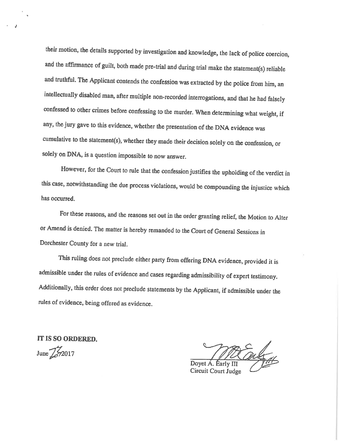their motion, the details supported by investigation and knowledge, the lack of police coercion, and the affirmance of guilt, both made pre-trial and during trial make the statement(s) reliable and truthful. The Applicant contends the confession was extracted by the police from him, an intellectually disabled man, after multiple non-recorded interrogations, and that he had falsely confessed to other crimes before confessing to the murder. When determining what weight, if any, the jury gave to this evidence, whether the presentation of the DNA evidence was cumulative to the statement(s), whether they made their decision solely on the confession, or solely on DNA, is a question impossible to now answer.

However, for the Court to rule that the confession justifies the upholding of the verdict in this case, notwithstanding the due process violations, would be compounding the injustice which has occurred.

For these reasons, and the reasons set out in the order granting relief, the Motion to Alter or Amend is denied. The matter is hereby remanded to the Court of General Sessions in Dorchester County for a new trial.

This ruling does not preclude either party from offering DNA evidence, provided it is admissible under the rules of evidence and cases regarding admissibility of expert testimony. Additionally, this order does not preclude statements by the Applicant, if admissible under the rules of evidence, being offered as evidence.

IT IS SO ORDERED. June  $\mathbb{Z}$  72017

Doyet A. Early III

Circuit Court Judge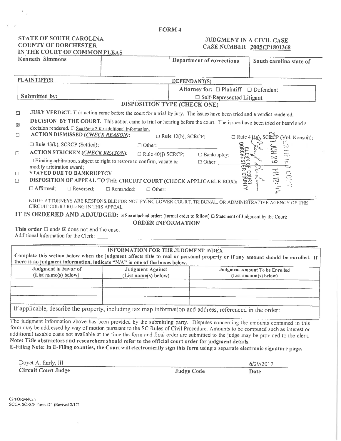#### FORM 4

### STATE OF SOUTH CAROLINA **COUNTY OF DORCHESTER** IN THE COURT OF COMMON PLEAS

## JUDGMENT IN A CIVIL CASE CASE NUMBER 2005CP1801368

| <b>Kenneth Simmons</b>                                                                                                                       |                  |                              | Department of corrections             |              | South carolina state of                   |
|----------------------------------------------------------------------------------------------------------------------------------------------|------------------|------------------------------|---------------------------------------|--------------|-------------------------------------------|
|                                                                                                                                              |                  |                              |                                       |              |                                           |
| PLAINTIFF(S)                                                                                                                                 |                  | DEFENDANT(S)                 |                                       |              |                                           |
|                                                                                                                                              |                  |                              | Attorney for: □ Plaintiff □ Defendant |              |                                           |
| Submitted by:                                                                                                                                |                  |                              | $\Box$ Self-Represented Litigant      |              |                                           |
|                                                                                                                                              |                  | DISPOSITION TYPE (CHECK ONE) |                                       |              |                                           |
| JURY VERDICT. This action came before the court for a trial by jury. The issues have been tried and a verdict rendered.<br>$\Box$            |                  |                              |                                       |              |                                           |
| DECISION BY THE COURT. This action came to trial or hearing before the court. The issues have been tried or heard and a<br>図                 |                  |                              |                                       |              |                                           |
| decision rendered. □ See Page 2 for additional information.                                                                                  |                  |                              |                                       |              |                                           |
| ACTION DISMISSED (CHECK REASON):<br>$\Box$                                                                                                   |                  | $\Box$ Rule 12(b), SCRCP;    |                                       |              | $\Box$ Rule 4 ((a), SCECP (Vol. Nonsuit); |
| $\Box$ Rule 43(k), SCRCP (Settled);                                                                                                          |                  | $\Box$ Other:                |                                       |              |                                           |
| ACTION STRICKEN (CHECK REASON):<br>$\Box$                                                                                                    |                  | $\Box$ Rule 40(j) SCRCP;     | □ Bankruptcy;                         | DORCHI       | Ξ<br>$\overrightarrow{z_2}$               |
| □ Binding arbitration, subject to right to restore to confirm, vacate or                                                                     |                  |                              | $\Box$ Other: $\Box$                  |              | no<br>10<br>1773                          |
| modify arbitration award;                                                                                                                    |                  |                              |                                       | ᆓ            | ت                                         |
| <b>STAYED DUE TO BANKRUPTCY</b><br>$\Box$                                                                                                    |                  |                              |                                       | <b>COURT</b> | 121 Hd<br><b>COP</b>                      |
| DISPOSITION OF APPEAL TO THE CIRCUIT COURT (CHECK APPLICABLE BOX):<br>$\Box$                                                                 |                  |                              |                                       |              |                                           |
| $\Box$ Affirmed;<br>$\Box$ Reversed;                                                                                                         | $\Box$ Remanded; | $\Box$ Other:                |                                       |              | $\frac{1}{\sqrt{2}}$                      |
| NOTE: ATTORNEYS ARE RESPONSIBLE FOR NOTIFYING LOWER COURT, TRIBUNAL. OR ADMINISTRATIVE AGENCY OF THE<br>CIRCUIT COURT RULING IN THIS APPEAL. |                  |                              |                                       |              |                                           |
| IT IS ORDERED AND ADJUDGED: E See attached order; (formal order to follow) $\Box$ Statement of Judgment by the Court:                        |                  |                              |                                       |              |                                           |

ORDER INFORMATION

This order  $\square$  ends  $\boxtimes$  does not end the case. Additional Information for the Clerk: \_\_\_\_\_\_\_\_\_\_

|                                              | INFORMATION FOR THE JUDGMENT INDEX<br>there is no judgment information, indicate "N/A" in one of the boxes below. | Complete this section below when the judgment affects title to real or personal property or if any amount should be enrolled. If |  |  |
|----------------------------------------------|-------------------------------------------------------------------------------------------------------------------|----------------------------------------------------------------------------------------------------------------------------------|--|--|
| Judgment in Favor of<br>(List name(s) below) | Judgment Against<br>(List name(s) below)                                                                          | Judgment Amount To be Enrolled<br>(List amount(s) below)                                                                         |  |  |
|                                              | If applicable, describe the property, including tax map information and address, referenced in the order:         |                                                                                                                                  |  |  |

The judgment information above has been provided by the submitting party. Disputes concerning the amounts contained in this form may be addressed by way of motion pursuant to the SC Rules of Civil Procedure. Amounts to be computed such as interest or additional taxable costs not available at the time the form and final order are submitted to the judge may be provided to the clerk. Note: Title abstractors and researchers should refer to the official court order for judgment details.

E-Filing Note: In E-Filing counties, the Court will electronically sign this form using a separate electronic signature page.

Doyet A. Early, III

**Circuit Court Judge** 

**Judge Code** 

6/29/2017 Date

CPFORM4Cm SCCA SCRCP Form 4C (Revised 2/17)